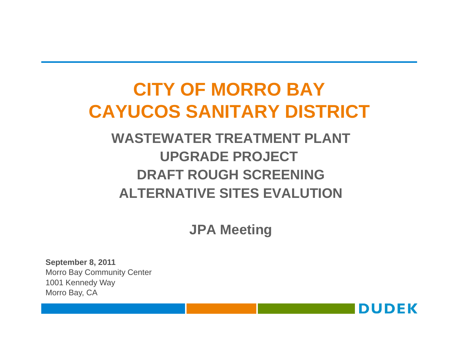# **CITY OF MORRO BAYCAYUCOS SANITARY DISTRICT**

# **WASTEWATER TREATMENT PLANT UPGRADE PROJECTDRAFT ROUGH SCREENING ALTERNATIVE SITES EVALUTION**

**JPA Meeting**

**September 8, 2011** Morro Bay Community Center 1001 Kennedy Way Morro Bay, CA

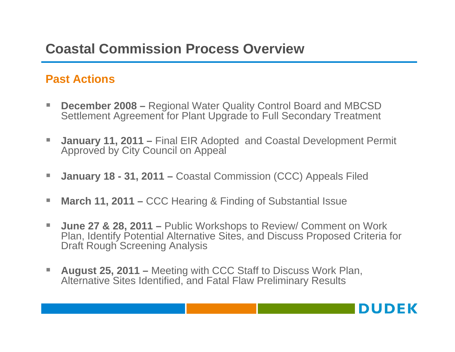# **Coastal Commission Process Overview**

#### **Past Actions**

- **December 2008** Regional Water Quality Control Board and MBCSD Settlement Agreement for Plant Upgrade to Full Secondary Treatment
- $\mathcal{L}_{\mathcal{A}}$  **January 11, 2011 –** Final EIR Adopted and Coastal Development Permit Approved by City Council on Appeal
- $\sim$ **January 18 - 31, 2011 –** Coastal Commission (CCC) Appeals Filed
- П **March 11, 2011 –** CCC Hearing & Finding of Substantial Issue
- $\mathcal{L}_{\mathcal{A}}$  **June 27 & 28, 2011 –** Public Workshops to Review/ Comment on Work Plan, Identify Potential Alternative Sites, and Discuss Proposed Criteria for Draft Rough Screening Analysis
- $\Box$  **August 25, 2011 –** Meeting with CCC Staff to Discuss Work Plan, Alternative Sites Identified, and Fatal Flaw Preliminary Results

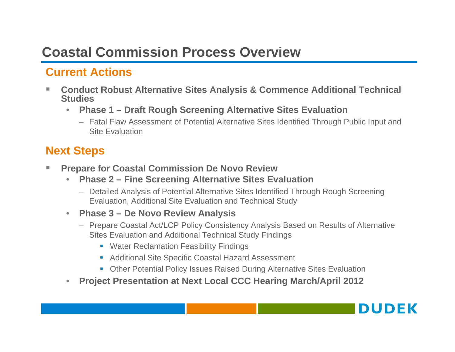# **Coastal Commission Process Overview**

## **Current Actions**

- П **Conduct Robust Alternative Sites Analysis & Commence Additional Technical Studies**
	- • **Phase 1 – Draft Rough Screening Alternative Sites Evaluation**
		- Fatal Flaw Assessment of Potential Alternative Sites Identified Through Public Input and Site Evaluation

### **Next Steps**

- $\mathcal{L}_{\mathcal{A}}$  **Prepare for Coastal Commission De Novo Review**
	- • **Phase 2 – Fine Screening Alternative Sites Evaluation**
		- Detailed Analysis of Potential Alternative Sites Identified Through Rough Screening Evaluation, Additional Site Evaluation and Technical Study
	- $\bullet$  **Phase 3 – De Novo Review Analysis**
		- Prepare Coastal Act/LCP Policy Consistency Analysis Based on Results of Alternative Sites Evaluation and Additional Technical Study Findings
			- **Water Reclamation Feasibility Findings**
			- Additional Site Specific Coastal Hazard Assessment
			- Other Potential Policy Issues Raised During Alternative Sites Evaluation
	- •**Project Presentation at Next Local CCC Hearing March/April 2012**

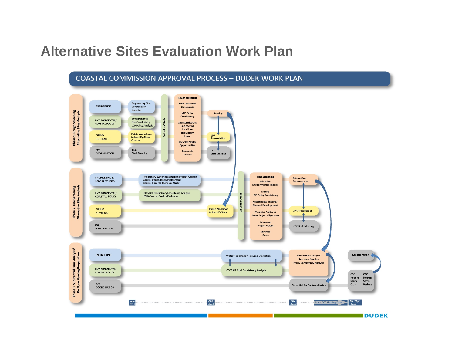# **Alternative Sites Evaluation Work Plan**

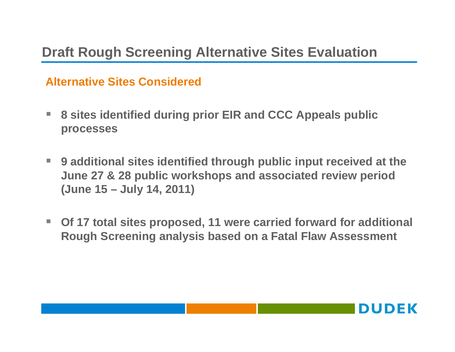#### **Alternative Sites Considered**

- $\mathcal{L}^{\mathcal{L}}$  **8 sites identified during prior EIR and CCC Appeals public processes**
- $\mathcal{L}_{\mathcal{A}}$  **9 additional sites identified through public input received at the June 27 & 28 public workshops and associated review period (June 15 – July 14, 2011)**
- $\blacksquare$  **Of 17 total sites proposed, 11 were carried forward for additional Rough Screening analysis based on a Fatal Flaw Assessment**

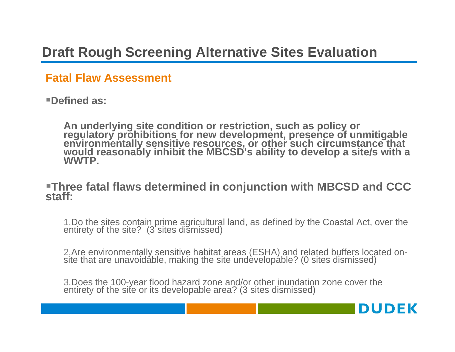#### **Fatal Flaw Assessment**

**Defined as:** 

An underlying site condition or restriction, such as policy or<br>regulatory prohibitions for new development, presence of unmitigable<br>environmentally sensitive resources, or other such circumstance that<br>would reasonably inhi

# **Three fatal flaws determined in conjunction with MBCSD and CCC staff:**

1.Do the sites contain prime agricultural land, as defined by the Coastal Act, over the entirety of the site? (3 sites dismissed)

2.Are environmentally sensitive habitat areas (ESHA) and related buffers located on- site that are unavoidable, making the site undevelopable? (0 sites dismissed)

**DUDEK** 

3.Does the 100-year flood hazard zone and/or other inundation zone cover the entirety of the site or its developable area? (3 sites dismissed)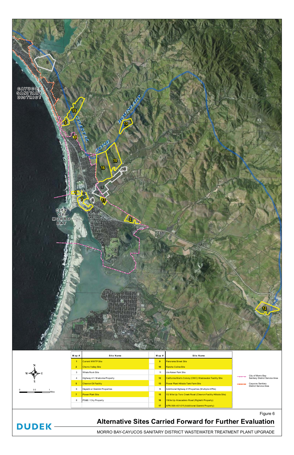

#### **Alternative Sites Carried Forward for Further Evaluation**

MORRO BAY-CAYUCOS SANITARY DISTRICT WASTEWATER TREATMENT PLANT UPGRADE



**DUDEK-**

Figure 6

| $M$ ap $#$     | Site Name                      | $M$ ap $#$ | <b>Site Name</b>                                            |                     |                                                                                                         |
|----------------|--------------------------------|------------|-------------------------------------------------------------|---------------------|---------------------------------------------------------------------------------------------------------|
| 1              | <b>Current WWTP Site</b>       | 9          | <b>Panorama Street Site</b>                                 |                     |                                                                                                         |
| $\overline{2}$ | <b>Chorro Valley Site</b>      | 10         | Rancho Colina Site                                          | <u>____</u><br>---- | City of Morro Bay<br>Sanitary District Service Area<br>Cayucos Sanitary<br><b>District Service Area</b> |
| 3              | Whale Rock Site                | 11         | Lila Keiser Park Site                                       |                     |                                                                                                         |
| 4              | Highway 41/ Madonna Property   | 12         | California Men's Colony (CMC) Wastewater Facility Site      |                     |                                                                                                         |
| 5 <sub>5</sub> | <b>Chevron Oil Facility</b>    | 13         | Power Plant Hillside Tank Farm Site                         |                     |                                                                                                         |
| 6              | Hayashi or Giannini Properties | 14         | Additional Highway 41 Properties (Multiple APNs)            |                     |                                                                                                         |
| $\overline{7}$ | <b>Power Plant Site</b>        | 15         | V2 Mile Up Toro Creek Road (Chevron Facility Hillside Site) |                     |                                                                                                         |
| 8              | PG&E / City Property           | 16         | 1Mile Up Atascadero Road (Righetti Property)                |                     |                                                                                                         |
|                |                                | 17         | APN 068-401-011 (Additional Giannini Property)              |                     |                                                                                                         |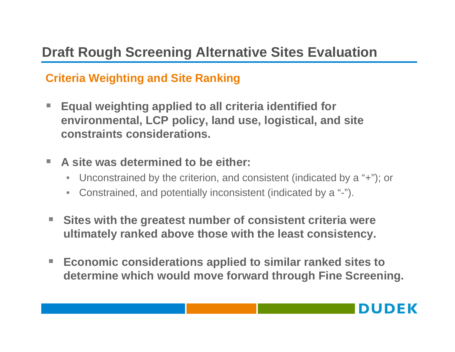### **Criteria Weighting and Site Ranking**

- **Equal weighting applied to all criteria identified for environmental, LCP policy, land use, logistical, and site constraints considerations.**
- **College A site was determined to be either:** 
	- $\bullet$ Unconstrained by the criterion, and consistent (indicated by a "+"); or
	- Constrained, and potentially inconsistent (indicated by a "-").
- $\mathcal{L}_{\mathcal{A}}$  **Sites with the greatest number of consistent criteria were ultimately ranked above those with the least consistency.**
- $\mathcal{L}_{\mathcal{A}}$  **Economic considerations applied to similar ranked sites to determine which would move forward through Fine Screening.**

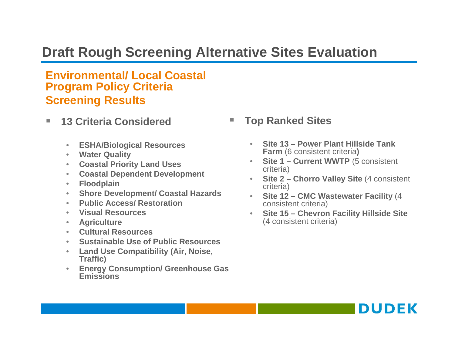#### **Environmental/ Local Coastal Program Policy Criteria Screening Results**

- $\mathcal{L}_{\mathcal{A}}$  **13 Criteria Considered**
	- **ESHA/Biological Resources**
	- **Water Quality**
	- **Coastal Priority Land Uses**
	- **Coastal Dependent Development**
	- **Floodplain**
	- **Shore Development/ Coastal Hazards**
	- •**Public Access/ Restoration**
	- •**Visual Resources**
	- •**Agriculture**
	- **Cultural Resources**
	- **Sustainable Use of Public Resources**
	- **Land Use Compatibility (Air, Noise, Traffic)**
	- $\bullet$  **Energy Consumption/ Greenhouse Gas Emissions**
- **Top Ranked Sites** 
	- **Site 13 – Power Plant Hillside Tank Farm** (6 consistent criteria**)**
	- • **Site 1 – Current WWTP** (5 consistent criteria)
	- **Site 2 – Chorro Valley Site** (4 consistent criteria)
	- • **Site 12 – CMC Wastewater Facility** (4 consistent criteria)
	- • **Site 15 – Chevron Facility Hillside Site**  (4 consistent criteria)

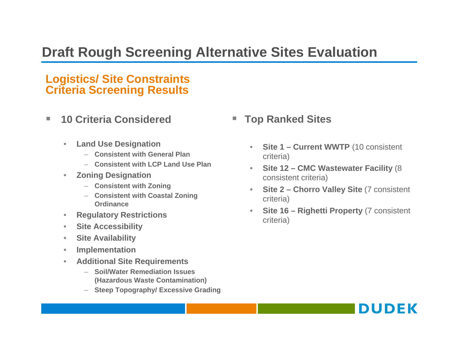#### **Logistics/ Site Constraints Criteria Screening Results**

- $\Box$  **10 Criteria Considered**
	- $\bullet$  **Land Use Designation**
		- **Consistent with General Plan**
		- **Consistent with LCP Land Use Plan**
	- $\bullet$  **Zoning Designation**
		- **Consistent with Zoning**
		- **Consistent with Coastal Zoning Ordinance**
	- $\bullet$ **Regulatory Restrictions**
	- •**Site Accessibility**
	- $\bullet$ **Site Availability**
	- $\bullet$ **Implementation**
	- $\bullet$  **Additional Site Requirements**
		- **Soil/Water Remediation Issues (Hazardous Waste Contamination)**
		- **Steep Topography/ Excessive Grading**
- **Top Ranked Sites**
	- **Site 1 – Current WWTP** (10 consistent criteria)
	- • **Site 12 – CMC Wastewater Facility** (8 consistent criteria)
	- • **Site 2 – Chorro Valley Site** (7 consistent criteria)
	- • **Site 16 – Righetti Property** (7 consistent criteria)

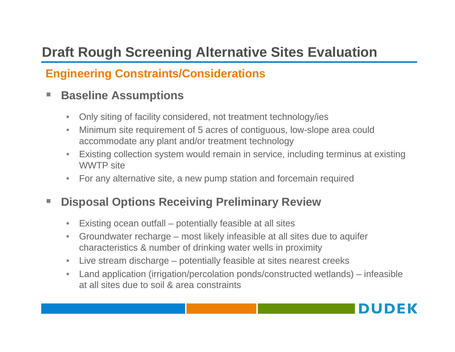## **Engineering Constraints/Considerations**

#### $\overline{\phantom{a}}$ **Baseline Assumptions**

- $\bullet$ Only siting of facility considered, not treatment technology/ies
- $\bullet$  Minimum site requirement of 5 acres of contiguous, low-slope area could accommodate any plant and/or treatment technology
- • Existing collection system would remain in service, including terminus at existing WWTP site
- •For any alternative site, a new pump station and forcemain required

#### **COL Disposal Options Receiving Preliminary Review**

- •Existing ocean outfall – potentially feasible at all sites
- $\bullet$  Groundwater recharge – most likely infeasible at all sites due to aquifer characteristics & number of drinking water wells in proximity
- Live stream discharge potentially feasible at sites nearest creeks
- $\bullet$  Land application (irrigation/percolation ponds/constructed wetlands) – infeasible at all sites due to soil & area constraints

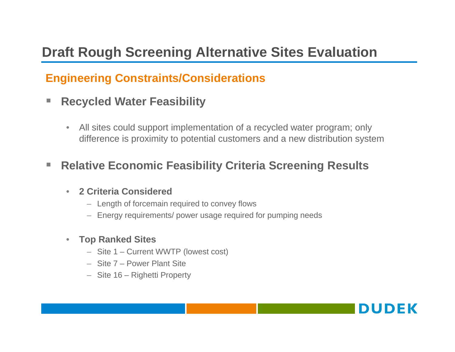### **Engineering Constraints/Considerations**

- H **Recycled Water Feasibility** 
	- • All sites could support implementation of a recycled water program; only difference is proximity to potential customers and a new distribution system

#### $\mathcal{L}_{\mathcal{A}}$ **Relative Economic Feasibility Criteria Screening Results**

#### •**2 Criteria Considered**

- Length of forcemain required to convey flows
- Energy requirements/ power usage required for pumping needs
- **Top Ranked Sites**
	- Site 1 Current WWTP (lowest cost)
	- Site 7 Power Plant Site
	- Site 16 Righetti Property

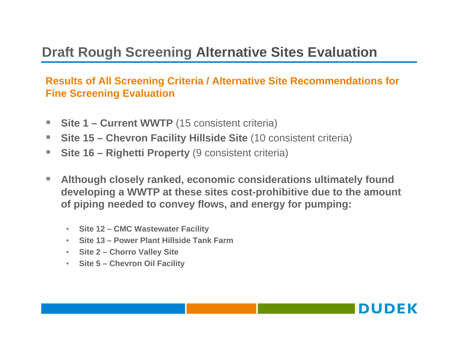#### **Results of All Screening Criteria / Alternative Site Recommendations for Fine Screening Evaluation**

- П ■ Site 1 – Current WWTP (15 consistent criteria)
- ш **Site 15 – Chevron Facility Hillside Site** (10 consistent criteria)
- T. **Site 16 – Righetti Property** (9 consistent criteria)
- $\mathcal{L}_{\mathcal{A}}$  **Although closely ranked, economic considerations ultimately found developing a WWTP at these sites cost-prohibitive due to the amount of piping needed to convey flows, and energy for pumping:**
	- **Site 12 – CMC Wastewater Facility**
	- **Site 13 – Power Plant Hillside Tank Farm**
	- **Site 2 – Chorro Valley Site**
	- **Site 5 – Chevron Oil Facility**

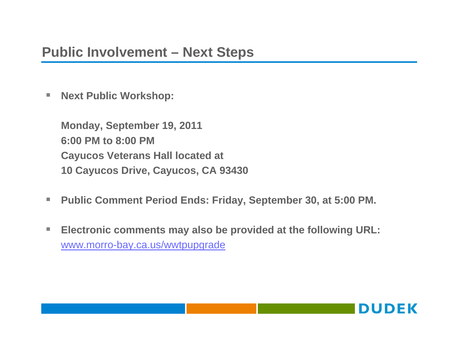# **Public Involvement – Next Steps**

ш **Next Public Workshop:**

> **Monday, September 19, 2011 6:00 PM to 8:00 PMCayucos Veterans Hall located at 10 Cayucos Drive, Cayucos, CA 93430**

- $\mathcal{L}_{\mathcal{A}}$ **Public Comment Period Ends: Friday, September 30, at 5:00 PM.**
- $\mathcal{L}_{\mathcal{A}}$  **Electronic comments may also be provided at the following URL:** www.morro-bay.ca.us/wwtpupgrade